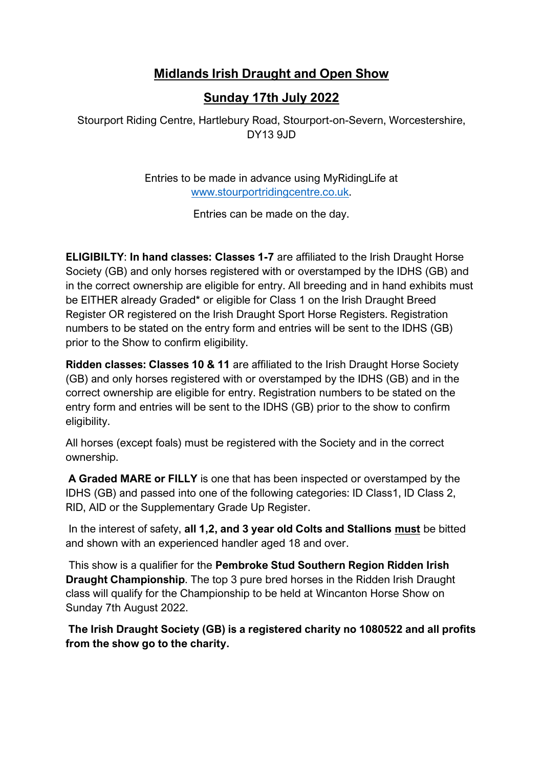# **Midlands Irish Draught and Open Show**

# **Sunday 17th July 2022**

Stourport Riding Centre, Hartlebury Road, Stourport-on-Severn, Worcestershire, DY13 9JD

> Entries to be made in advance using MyRidingLife at [www.stourportridingcentre.co.uk.](about:blank)

> > Entries can be made on the day.

**ELIGIBILTY**: **In hand classes: Classes 1-7** are affiliated to the Irish Draught Horse Society (GB) and only horses registered with or overstamped by the IDHS (GB) and in the correct ownership are eligible for entry. All breeding and in hand exhibits must be EITHER already Graded\* or eligible for Class 1 on the Irish Draught Breed Register OR registered on the Irish Draught Sport Horse Registers. Registration numbers to be stated on the entry form and entries will be sent to the IDHS (GB) prior to the Show to confirm eligibility.

**Ridden classes: Classes 10 & 11** are affiliated to the Irish Draught Horse Society (GB) and only horses registered with or overstamped by the IDHS (GB) and in the correct ownership are eligible for entry. Registration numbers to be stated on the entry form and entries will be sent to the IDHS (GB) prior to the show to confirm eligibility.

All horses (except foals) must be registered with the Society and in the correct ownership.

**A Graded MARE or FILLY** is one that has been inspected or overstamped by the IDHS (GB) and passed into one of the following categories: ID Class1, ID Class 2, RID, AID or the Supplementary Grade Up Register.

In the interest of safety, **all 1,2, and 3 year old Colts and Stallions must** be bitted and shown with an experienced handler aged 18 and over.

This show is a qualifier for the **Pembroke Stud Southern Region Ridden Irish Draught Championship**. The top 3 pure bred horses in the Ridden Irish Draught class will qualify for the Championship to be held at Wincanton Horse Show on Sunday 7th August 2022.

**The Irish Draught Society (GB) is a registered charity no 1080522 and all profits from the show go to the charity.**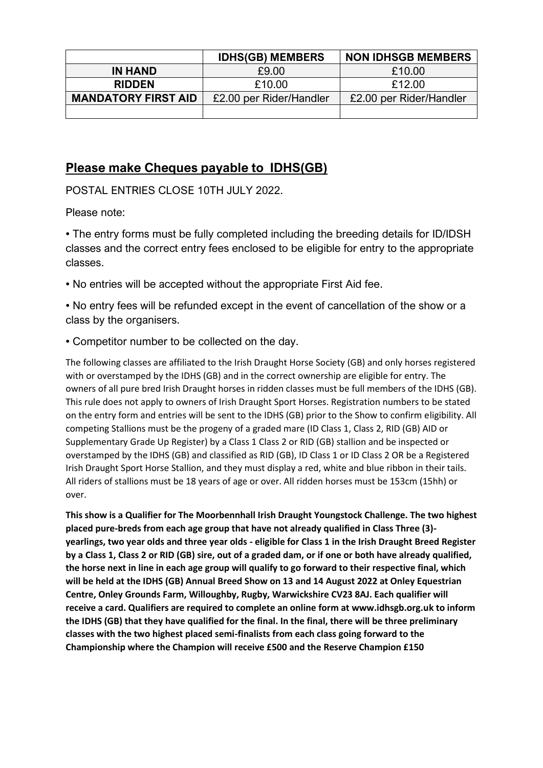|                            | <b>IDHS(GB) MEMBERS</b> | <b>NON IDHSGB MEMBERS</b> |
|----------------------------|-------------------------|---------------------------|
| <b>IN HAND</b>             | £9.00                   | £10.00                    |
| <b>RIDDEN</b>              | £10.00                  | £12.00                    |
| <b>MANDATORY FIRST AID</b> | £2.00 per Rider/Handler | £2.00 per Rider/Handler   |
|                            |                         |                           |

# **Please make Cheques payable to IDHS(GB)**

POSTAL ENTRIES CLOSE 10TH JULY 2022.

Please note:

• The entry forms must be fully completed including the breeding details for ID/IDSH classes and the correct entry fees enclosed to be eligible for entry to the appropriate classes.

• No entries will be accepted without the appropriate First Aid fee.

• No entry fees will be refunded except in the event of cancellation of the show or a class by the organisers.

• Competitor number to be collected on the day.

The following classes are affiliated to the Irish Draught Horse Society (GB) and only horses registered with or overstamped by the IDHS (GB) and in the correct ownership are eligible for entry. The owners of all pure bred Irish Draught horses in ridden classes must be full members of the IDHS (GB). This rule does not apply to owners of Irish Draught Sport Horses. Registration numbers to be stated on the entry form and entries will be sent to the IDHS (GB) prior to the Show to confirm eligibility. All competing Stallions must be the progeny of a graded mare (ID Class 1, Class 2, RID (GB) AID or Supplementary Grade Up Register) by a Class 1 Class 2 or RID (GB) stallion and be inspected or overstamped by the IDHS (GB) and classified as RID (GB), ID Class 1 or ID Class 2 OR be a Registered Irish Draught Sport Horse Stallion, and they must display a red, white and blue ribbon in their tails. All riders of stallions must be 18 years of age or over. All ridden horses must be 153cm (15hh) or over.

**This show is a Qualifier for The Moorbennhall Irish Draught Youngstock Challenge. The two highest placed pure-breds from each age group that have not already qualified in Class Three (3) yearlings, two year olds and three year olds - eligible for Class 1 in the Irish Draught Breed Register by a Class 1, Class 2 or RID (GB) sire, out of a graded dam, or if one or both have already qualified, the horse next in line in each age group will qualify to go forward to their respective final, which will be held at the IDHS (GB) Annual Breed Show on 13 and 14 August 2022 at Onley Equestrian Centre, Onley Grounds Farm, Willoughby, Rugby, Warwickshire CV23 8AJ. Each qualifier will receive a card. Qualifiers are required to complete an online form at www.idhsgb.org.uk to inform the IDHS (GB) that they have qualified for the final. In the final, there will be three preliminary classes with the two highest placed semi-finalists from each class going forward to the Championship where the Champion will receive £500 and the Reserve Champion £150**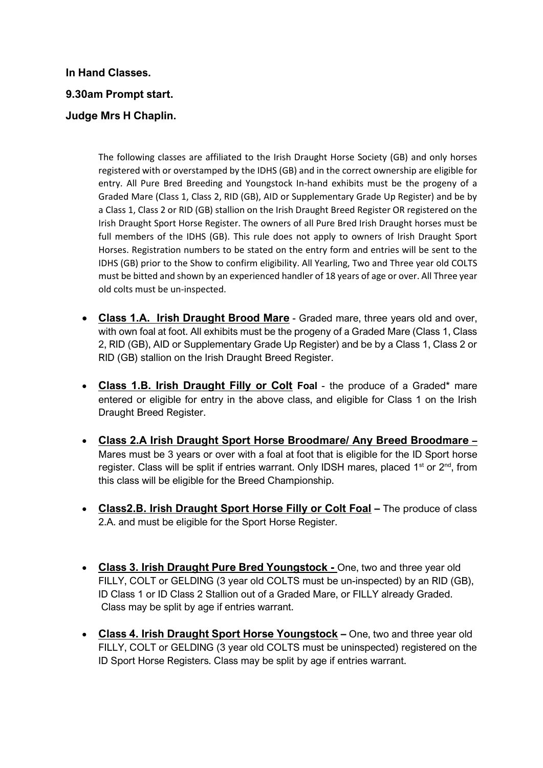**In Hand Classes. 9.30am Prompt start. Judge Mrs H Chaplin.**

> The following classes are affiliated to the Irish Draught Horse Society (GB) and only horses registered with or overstamped by the IDHS (GB) and in the correct ownership are eligible for entry. All Pure Bred Breeding and Youngstock In-hand exhibits must be the progeny of a Graded Mare (Class 1, Class 2, RID (GB), AID or Supplementary Grade Up Register) and be by a Class 1, Class 2 or RID (GB) stallion on the Irish Draught Breed Register OR registered on the Irish Draught Sport Horse Register. The owners of all Pure Bred Irish Draught horses must be full members of the IDHS (GB). This rule does not apply to owners of Irish Draught Sport Horses. Registration numbers to be stated on the entry form and entries will be sent to the IDHS (GB) prior to the Show to confirm eligibility. All Yearling, Two and Three year old COLTS must be bitted and shown by an experienced handler of 18 years of age or over. All Three year old colts must be un-inspected.

- **Class 1.A. Irish Draught Brood Mare** Graded mare, three years old and over, with own foal at foot. All exhibits must be the progeny of a Graded Mare (Class 1, Class 2, RID (GB), AID or Supplementary Grade Up Register) and be by a Class 1, Class 2 or RID (GB) stallion on the Irish Draught Breed Register.
- **Class 1.B. Irish Draught Filly or Colt Foal**  the produce of a Graded\* mare entered or eligible for entry in the above class, and eligible for Class 1 on the Irish Draught Breed Register.
- **Class 2.A Irish Draught Sport Horse Broodmare/ Any Breed Broodmare –** Mares must be 3 years or over with a foal at foot that is eligible for the ID Sport horse register. Class will be split if entries warrant. Only IDSH mares, placed  $1<sup>st</sup>$  or  $2<sup>nd</sup>$ , from this class will be eligible for the Breed Championship.
- **Class2.B. Irish Draught Sport Horse Filly or Colt Foal –** The produce of class 2.A. and must be eligible for the Sport Horse Register.
- **Class 3. Irish Draught Pure Bred Youngstock -** One, two and three year old FILLY, COLT or GELDING (3 year old COLTS must be un-inspected) by an RID (GB), ID Class 1 or ID Class 2 Stallion out of a Graded Mare, or FILLY already Graded. Class may be split by age if entries warrant.
- **Class 4. Irish Draught Sport Horse Youngstock –** One, two and three year old FILLY, COLT or GELDING (3 year old COLTS must be uninspected) registered on the ID Sport Horse Registers. Class may be split by age if entries warrant.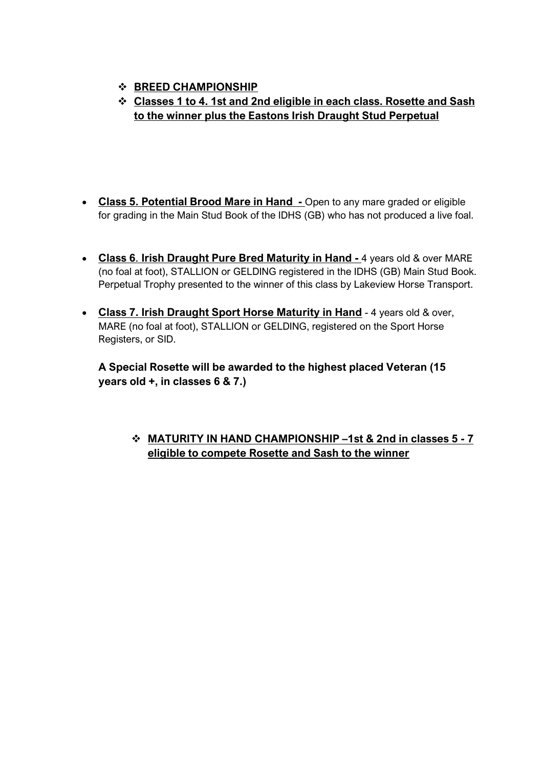- ❖ **BREED CHAMPIONSHIP**
- ❖ **Classes 1 to 4. 1st and 2nd eligible in each class. Rosette and Sash to the winner plus the Eastons Irish Draught Stud Perpetual**
- **Class 5. Potential Brood Mare in Hand -** Open to any mare graded or eligible for grading in the Main Stud Book of the IDHS (GB) who has not produced a live foal.
- **Class 6**. **Irish Draught Pure Bred Maturity in Hand -** 4 years old & over MARE (no foal at foot), STALLION or GELDING registered in the IDHS (GB) Main Stud Book. Perpetual Trophy presented to the winner of this class by Lakeview Horse Transport.
- **Class 7. Irish Draught Sport Horse Maturity in Hand** 4 years old & over, MARE (no foal at foot), STALLION or GELDING, registered on the Sport Horse Registers, or SID.

**A Special Rosette will be awarded to the highest placed Veteran (15 years old +, in classes 6 & 7.)**

# ❖ **MATURITY IN HAND CHAMPIONSHIP –1st & 2nd in classes 5 - 7 eligible to compete Rosette and Sash to the winner**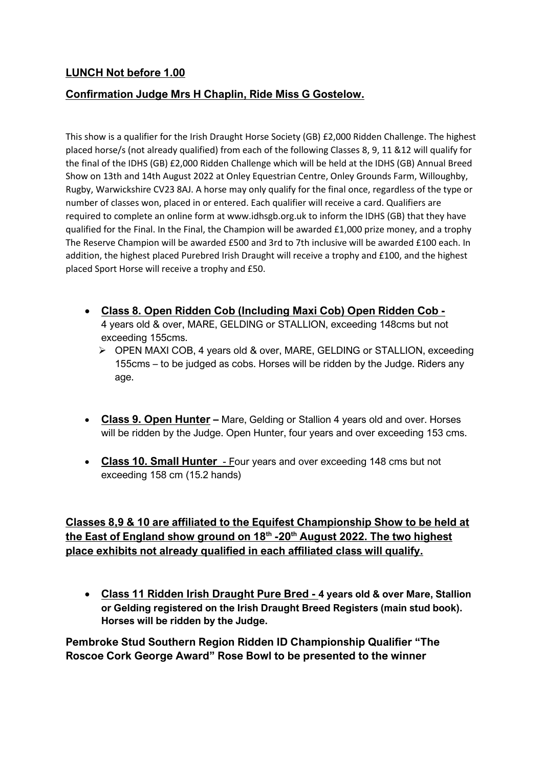## **LUNCH Not before 1.00**

## **Confirmation Judge Mrs H Chaplin, Ride Miss G Gostelow.**

This show is a qualifier for the Irish Draught Horse Society (GB) £2,000 Ridden Challenge. The highest placed horse/s (not already qualified) from each of the following Classes 8, 9, 11 &12 will qualify for the final of the IDHS (GB) £2,000 Ridden Challenge which will be held at the IDHS (GB) Annual Breed Show on 13th and 14th August 2022 at Onley Equestrian Centre, Onley Grounds Farm, Willoughby, Rugby, Warwickshire CV23 8AJ. A horse may only qualify for the final once, regardless of the type or number of classes won, placed in or entered. Each qualifier will receive a card. Qualifiers are required to complete an online form at www.idhsgb.org.uk to inform the IDHS (GB) that they have qualified for the Final. In the Final, the Champion will be awarded £1,000 prize money, and a trophy The Reserve Champion will be awarded £500 and 3rd to 7th inclusive will be awarded £100 each. In addition, the highest placed Purebred Irish Draught will receive a trophy and £100, and the highest placed Sport Horse will receive a trophy and £50.

- **Class 8. Open Ridden Cob (Including Maxi Cob) Open Ridden Cob -** 4 years old & over, MARE, GELDING or STALLION, exceeding 148cms but not exceeding 155cms.
	- ➢ OPEN MAXI COB, 4 years old & over, MARE, GELDING or STALLION, exceeding 155cms – to be judged as cobs. Horses will be ridden by the Judge. Riders any age.
- **Class 9. Open Hunter –** Mare, Gelding or Stallion 4 years old and over. Horses will be ridden by the Judge. Open Hunter, four years and over exceeding 153 cms.
- **Class 10. Small Hunter** Four years and over exceeding 148 cms but not exceeding 158 cm (15.2 hands)

**Classes 8,9 & 10 are affiliated to the Equifest Championship Show to be held at the East of England show ground on 18<sup>th</sup> -20<sup>th</sup> August 2022. The two highest place exhibits not already qualified in each affiliated class will qualify.** 

• **Class 11 Ridden Irish Draught Pure Bred - 4 years old & over Mare, Stallion or Gelding registered on the Irish Draught Breed Registers (main stud book). Horses will be ridden by the Judge.**

**Pembroke Stud Southern Region Ridden ID Championship Qualifier "The Roscoe Cork George Award" Rose Bowl to be presented to the winner**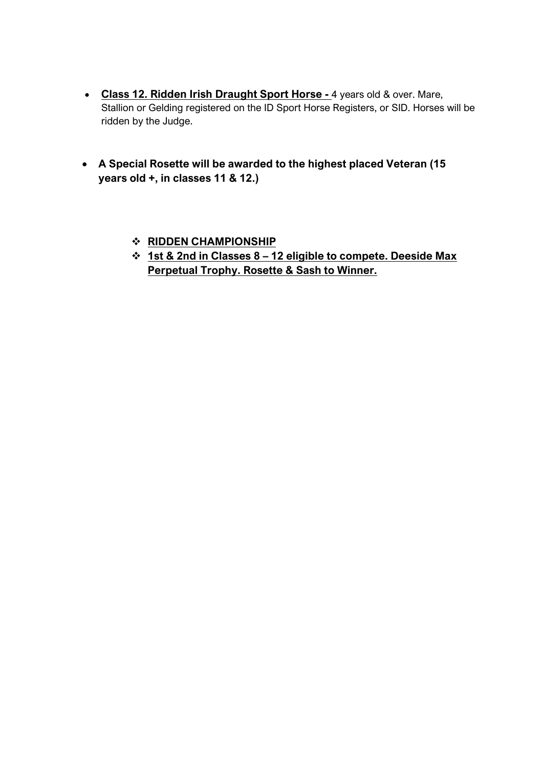- **Class 12. Ridden Irish Draught Sport Horse -** 4 years old & over. Mare, Stallion or Gelding registered on the ID Sport Horse Registers, or SID. Horses will be ridden by the Judge.
- **A Special Rosette will be awarded to the highest placed Veteran (15 years old +, in classes 11 & 12.)**
	- ❖ **RIDDEN CHAMPIONSHIP**
	- ❖ **1st & 2nd in Classes 8 – 12 eligible to compete. Deeside Max Perpetual Trophy. Rosette & Sash to Winner.**